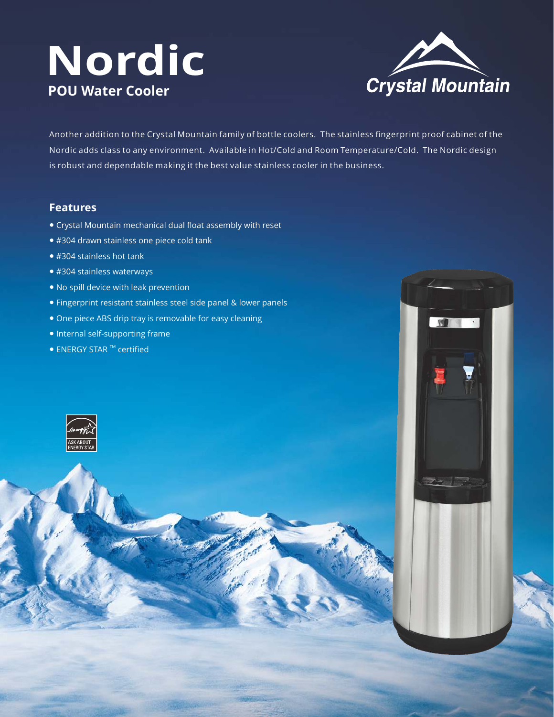# **Nordic POU Water Cooler**



**START** 

 $\bullet$ 

Another addition to the Crystal Mountain family of bottle coolers. The stainless fingerprint proof cabinet of the Nordic adds class to any environment. Available in Hot/Cold and Room Temperature/Cold. The Nordic design is robust and dependable making it the best value stainless cooler in the business.

## **Features**

- Crystal Mountain mechanical dual float assembly with reset
- #304 drawn stainless one piece cold tank
- #304 stainless hot tank
- #304 stainless waterways
- No spill device with leak prevention
- Fingerprint resistant stainless steel side panel & lower panels
- One piece ABS drip tray is removable for easy cleaning
- Internal self-supporting frame
- $\bullet$  ENERGY STAR  $\textsuperscript{TM}$  certified